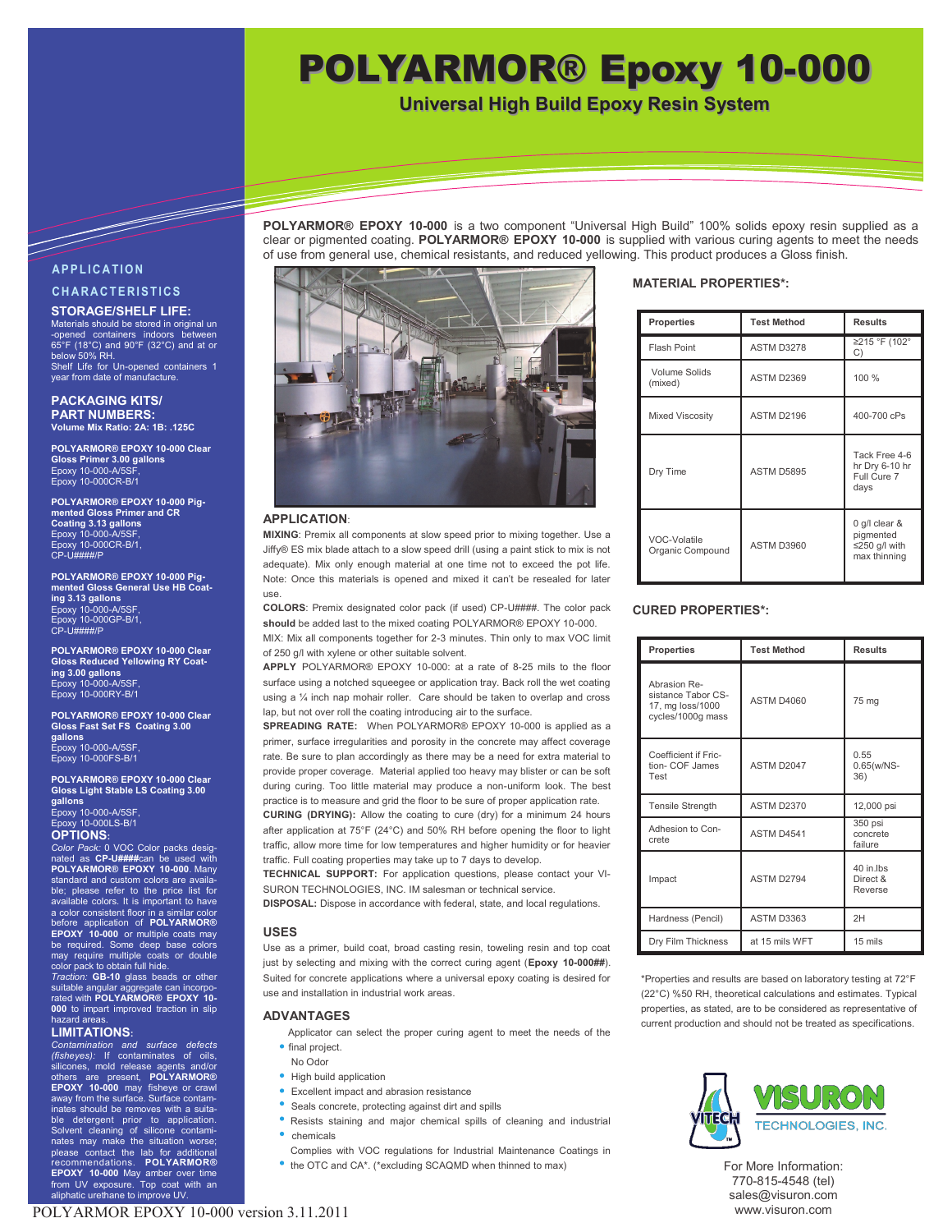# POLYARMOR® Epoxy 10-000

**Universal High Build Epoxy Resin System**

**POLYARMOR® EPOXY 10-000** is a two component "Universal High Build" 100% solids epoxy resin supplied as a clear or pigmented coating. **POLYARMOR® EPOXY 10-000** is supplied with various curing agents to meet the needs of use from general use, chemical resistants, and reduced yellowing. This product produces a Gloss finish.

# **A P P L I C A T I O N C H A R A C T E R I S T I C S**

<u>Tanah di Kabupatén Bandharang Kabupatén Bandharang Kabupatén Kabupatén Kabupatén Kabupatén Kabupatén Kabupatén Kabu</u>

# **STORAGE/SHELF LIFE:**

Materials should be stored in original un -opened containers indoors between 65°F (18°C) and 90°F (32°C) and at or below 50% RH. Shelf Life for Un-opened containers 1 year from date of manufacture.

#### **PACKAGING KITS/ PART NUMBERS: Volume Mix Ratio: 2A: 1B: .125C**

**POLYARMOR® EPOXY 10-000 Clear Gloss Primer 3.00 gallons** Epoxy 10-000-A/5SF, Epoxy 10-000CR-B/1

**POLYARMOR® EPOXY 10-000 Pigmented Gloss Primer and CR Coating 3.13 gallons** Epoxy 10-000-A/5S Epoxy 10-000CR-B/1,<br>CP-U####/P

**POLYARMOR® EPOXY 10-000 Pigmented Gloss General Use HB Coating 3.13 gallons** Epoxy 10-000-A/5SF, Epoxy 10-000GP-B/1,  $CP$ - $U$  $H$  $H$  $H$  $H$  $P$ 

**POLYARMOR® EPOXY 10-000 Clear Gloss Reduced Yellowing RY Coating 3.00 gallons** Epoxy 10-000-A/5SF, Epoxy 10-000RY-B/1

**POLYARMOR® EPOXY 10-000 Clear Gloss Fast Set FS Coating 3.00 gallons** Epoxy 10-000-A/5SF, Epoxy 10-000FS-B/1

**POLYARMOR® EPOXY 10-000 Clear Gloss Light Stable LS Coating 3.00 gallons**

Epoxy 10-000-A/5SF, Epoxy 10-000LS-B/1 **OPTIONS:**

*Color Pack:* 0 VOC Color packs designated as **CP-U####**can be used with **POLYARMOR® EPOXY 10-000**. Many standard and custom colors are available; please refer to the price list for available colors. It is important to have a color consistent floor in a similar color before application of **POLYARMOR® EPOXY 10-000** or multiple coats may be required. Some deep base colors may require multiple coats or double color pack to obtain full hide.

*Traction:* **GB-10** glass beads or other suitable angular aggregate can incorpo-rated with **POLYARMOR® EPOXY 10- 000** to impart improved traction in slip hazard areas.

# **LIMITATIONS:**

*Contamination and surface defects (fisheyes):* If contaminates of oils, silicones, mold release agents and/or others are present, **POLYARMOR® EPOXY 10-000** may fisheye or crawl away from the surface. Surface contaminates should be removes with a suitable detergent prior to application. Solvent cleaning of silicone contami-nates may make the situation worse; please contact the lab for additional recommendations. **POLYARMOR® EPOXY 10-000** May amber over time from UV exposure. Top coat with an aliphatic urethane to improve UV.



### **APPLICATION**:

**MIXING**: Premix all components at slow speed prior to mixing together. Use a Jiffy® ES mix blade attach to a slow speed drill (using a paint stick to mix is not adequate). Mix only enough material at one time not to exceed the pot life. Note: Once this materials is opened and mixed it can't be resealed for later use.

**COLORS**: Premix designated color pack (if used) CP-U####. The color pack **should** be added last to the mixed coating POLYARMOR® EPOXY 10-000. MIX: Mix all components together for 2-3 minutes. Thin only to max VOC limit

of 250 g/l with xylene or other suitable solvent.

**APPLY** POLYARMOR® EPOXY 10-000: at a rate of 8-25 mils to the floor surface using a notched squeegee or application tray. Back roll the wet coating using a ¼ inch nap mohair roller. Care should be taken to overlap and cross lap, but not over roll the coating introducing air to the surface.

**SPREADING RATE:** When POLYARMOR® EPOXY 10-000 is applied as a primer, surface irregularities and porosity in the concrete may affect coverage rate. Be sure to plan accordingly as there may be a need for extra material to provide proper coverage. Material applied too heavy may blister or can be soft during curing. Too little material may produce a non-uniform look. The best practice is to measure and grid the floor to be sure of proper application rate.

**CURING (DRYING):** Allow the coating to cure (dry) for a minimum 24 hours after application at 75°F (24°C) and 50% RH before opening the floor to light traffic, allow more time for low temperatures and higher humidity or for heavier traffic. Full coating properties may take up to 7 days to develop.

**TECHNICAL SUPPORT:** For application questions, please contact your VI-SURON TECHNOLOGIES, INC. IM salesman or technical service.

**DISPOSAL:** Dispose in accordance with federal, state, and local regulations.

### **USES**

Use as a primer, build coat, broad casting resin, toweling resin and top coat just by selecting and mixing with the correct curing agent (**Epoxy 10-000##**). Suited for concrete applications where a universal epoxy coating is desired for use and installation in industrial work areas.

### **ADVANTAGES**

- Applicator can select the proper curing agent to meet the needs of the • final project.
- No Odor
- High build application
- Excellent impact and abrasion resistance
- Seals concrete, protecting against dirt and spills
- Resists staining and major chemical spills of cleaning and industrial • chemicals
- Complies with VOC regulations for Industrial Maintenance Coatings in
- the OTC and CA\*. (\*excluding SCAQMD when thinned to max)

# **MATERIAL PROPERTIES\*:**

| <b>Properties</b>                | <b>Test Method</b> | <b>Results</b>                                              |
|----------------------------------|--------------------|-------------------------------------------------------------|
| <b>Flash Point</b>               | ASTM D3278         | ≥215 °F (102°<br>C)                                         |
| Volume Solids<br>(mixed)         | <b>ASTM D2369</b>  | 100 %                                                       |
| <b>Mixed Viscosity</b>           | ASTM D2196         | 400-700 cPs                                                 |
| Dry Time                         | ASTM D5895         | Tack Free 4-6<br>hr Dry 6-10 hr<br>Full Cure 7<br>days      |
| VOC-Volatile<br>Organic Compound | ASTM D3960         | 0 g/l clear &<br>pigmented<br>≤250 g/l with<br>max thinning |

### **CURED PROPERTIES\*:**

| <b>Properties</b>                                                           | <b>Test Method</b> | <b>Results</b>                   |
|-----------------------------------------------------------------------------|--------------------|----------------------------------|
| Abrasion Re-<br>sistance Tabor CS-<br>17, mg loss/1000<br>cycles/1000g mass | <b>ASTM D4060</b>  | 75 mg                            |
| Coefficient if Fric-<br>tion- COF James<br>Test                             | ASTM D2047         | 0.55<br>$0.65(w/NS -$<br>36)     |
| <b>Tensile Strength</b>                                                     | <b>ASTM D2370</b>  | 12,000 psi                       |
| Adhesion to Con-<br>crete                                                   | ASTM D4541         | $350$ psi<br>concrete<br>failure |
| Impact                                                                      | ASTM D2794         | 40 in lbs<br>Direct &<br>Reverse |
| Hardness (Pencil)                                                           | ASTM D3363         | 2H                               |
| Dry Film Thickness                                                          | at 15 mils WFT     | 15 mils                          |

\*Properties and results are based on laboratory testing at 72°F (22°C) %50 RH, theoretical calculations and estimates. Typical properties, as stated, are to be considered as representative of current production and should not be treated as specifications.



For More Information: 770-815-4548 (tel) sales@visuron.com www.visuron.com